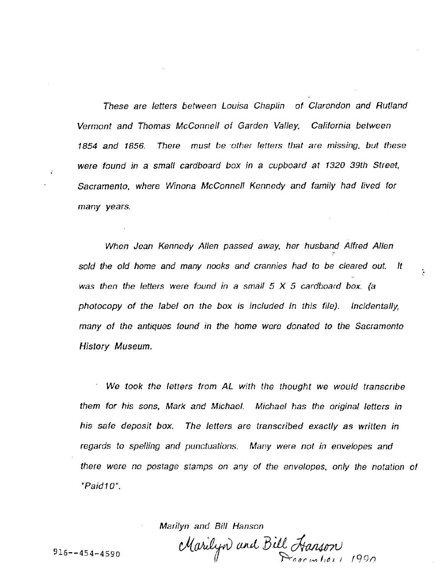These are letters between Louisa Chaplin of Clarendon and Rutland Vermont and Thomas McConnell of Garden Valley, California between 1854 and 1856. There must be ·other letters that are missing, but these were found in a small cardboard box in a cupboard at 1320 39th Street, Sacramento, where Winona McConnell Kennedy and family had lived for many years.

When Jean Kennedy Allen passed away, her husband Alfred Allen sold the old home and many nooks and crannies had to be cleared out. It was then the letters were found in a small  $5 \times 5$  cardboard box. (a photocopy of the label on the box is included in this file). Incidentally, many of the antiques found in the home were donated to the Sacramento History Museum.

We took the letters from AL with the thought we would transcribe them for his sons, Mark and Michael. Michael has the original letters in his safe deposit box. The letters are transcribed exactly as written in regards to spelling and punctuations. Many were not in envelopes and there were no postage stamps on any of the envelopes, only the notation of "Paid1 0".

Marilyn and Bill Hanson

916--454-4590  $\mathcal{M}$ arilyo and Bill Hanson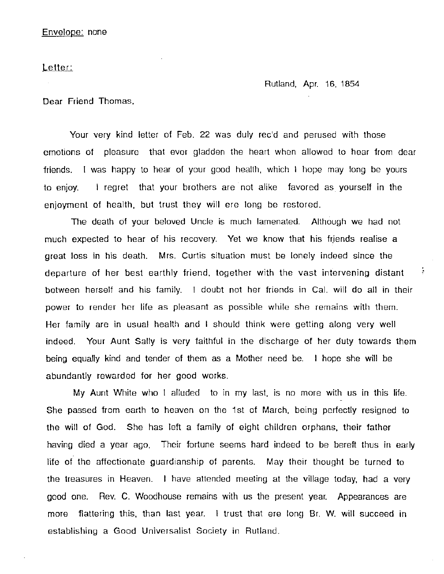Letter:

Rutland, Apr. 16, 1854

÷

Dear Friend Thomas,

Your very kind letter of Feb. 22 was duly rec'd and perused with those emotions of pleasure that ever gladden the heart when allowed to hear from dear friends. I was happy to hear of your good health, which I hope may long be yours to enjoy. I regret that your brothers are not alike favored as yourself in the enjoyment of health, but trust they will ere long be restored.

The death of your beloved Uncle is much lamenated. Although we had not much expected to hear of his recovery. Yet we know that his friends realise a great loss in his death. Mrs. Curtis situation must be lonely indeed since the departure of her best earthly friend, together with the vast intervening distant between herself and his family. I doubt not her friends in Cal. will do all in their power to render her life as pleasant as possible while she remains with them. Her family are in usual health and I should think were getting along very well indeed. Your Aunt Sally is very faithful in the discharge of her duty towards them being equally kind and tender of them as a Mother need be. I hope she will be abundantly rewarded for her good works.

My Aunt White who I alluded to in my last, is no more with us in this life. She passed from earth to heaven on the 1st of March, being perfectly resigned to the will of God. She has left a family of eight children orphans, their father having died a year ago, Their fortune seems hard indeed to be bereft thus in early life of the affectionate guardianship of parents. May their thought be turned to the treasures in Heaven. I have attended meeting at the village today, had a very good one. Rev. C. Woodhouse remains with us the present year. Appearances are more flattering this, than last year. I trust that ere long Br. W. will succeed in establishing a Good Universalist Society in Rutland.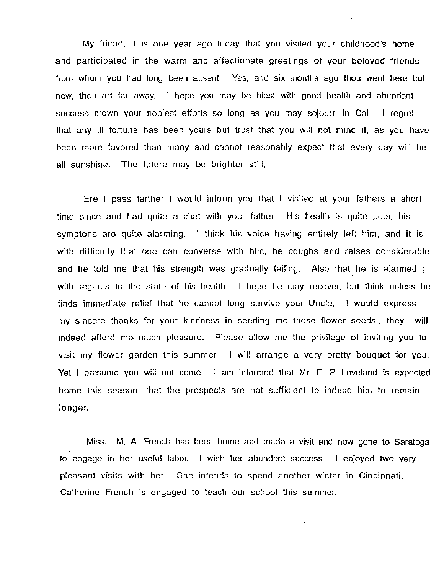My friend. it is one year ago today that you visited your childhood's home and participated in the warm and affectionate greetings of your beloved friends from whom you had long been absent. Yes, and six months ago thou went here but now, thou art far away. I hope you may be blest with good health and abundant success crown your noblest efforts so long as you may sojourn in Cal. I regret that any ill fortune has been yours but trust that you will not mind it, as you have been more favored than many and cannot reasonably expect that every day will be all sunshine. The future may be brighter still.

Ere I pass farther I would inform you that I visited at your fathers a short time since and had quite a chat with your father. His health is quite poor, his symptons are quite alarming. I think his voice having entirely left him, and it is with difficulty that one can converse with him, he coughs and raises considerable and he told me that his strength was gradually failing. Also that he is alarmed : with regards to the state of his health. I hope he may recover, but think unless he finds immediate relief that he cannot long survive your Uncle. I would express my sincere thanks for your kindness in sending me those flower seeds., they will indeed afford me· much pleasure. Please allow me the privilege of inviting you to visit my flower garden this summer, I will arrange a very pretty bouquet for you. Yet I presume you will not come. I am informed that Mr. E. P. Loveland is expected home this season, that the prospects are not sufficient to induce him to remain longer.

Miss. M. A. French has been home and made a visit and now gone to Saratoga to engage in her useful labor. I wish her abundent success. I enjoyed two very pleasant visits with her. She intends to spend another winter in Cincinnati. Catherine French is engaged to teach our school this summer.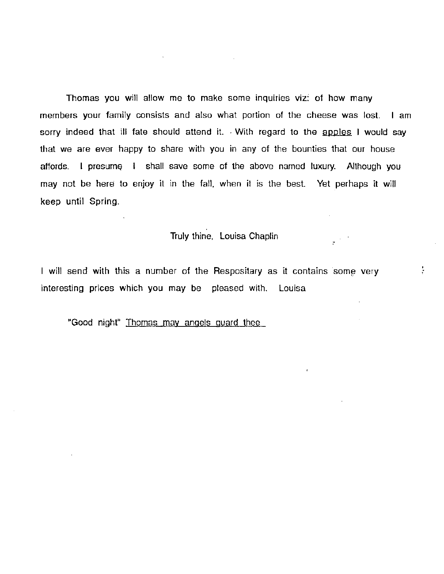Thomas you will allow me to make some inquiries viz: of how many members your family consists and also what portion of the cheese was lost. I am sorry indeed that ill fate should attend it. With regard to the apples I would say that we are ever happy to share with you in any of the bounties that our house affords. I presume I shall save some of the above named luxury. Although you may not be here to enjoy it in the fall, when it is the best. Yet perhaps it will keep until Spring.

 $\mathcal{L}^{\mathcal{L}}(\mathcal{L}^{\mathcal{L}})$  . The contribution of the contribution of  $\mathcal{L}^{\mathcal{L}}$ 

# Truly thine, Louisa Chaplin

ţ

I will send with this a number of the Respositary as it contains some very interesting prices which you may be pleased with. Louisa

"Good night" Thomas may angels guard thee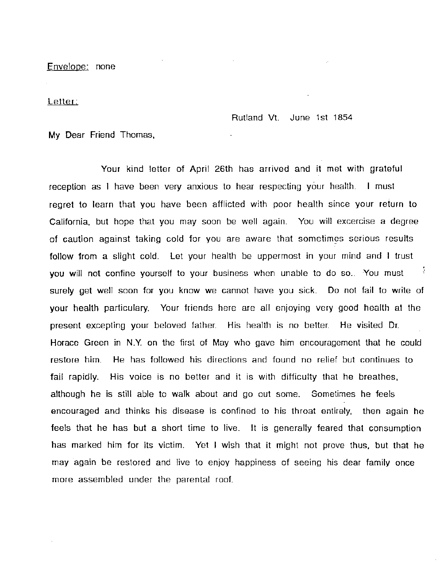Envelope: none

Letter:

Rutland Vt. June 1st 1854

My Dear Friend Thomas,

Your kind letter of April 26th has arrived and it met with grateful reception as I have been very anxious to hear respecting your health. I must regret to learn that you have been afflicted with poor health since your return to California, but hope that you may soon be well again. You will excercise a degree of caution against taking cold for you are aware that sometimes serious results follow from a slight cold. Let your health be uppermost in your mind and I trust ÷ you will not confine yourself to your business when unable to do so.. You must surely get well soon for you know we cannot have you sick. Do not fail to write of your health particulary. Your friends here are all enjoying very good health at the present excepting your beloved father. His health is no better. He visited Dr. Horace Green in N.Y. on the first of May who gave him encouragement that he could restore him. He has followed his directions and found no relief but continues to fail rapidly. His voice is no better and it is with difficulty that he breathes, although he is still able to walk about and go out some. Sometimes he feels encouraged and thinks his disease is confined to his throat entirely, then again he feels that he has but a short time to live. It is generally feared that consumption has marked him for its victim. Yet I wish that it might not prove thus, but that he may again be restored and live to enjoy happiness of seeing his dear family once more assembled under the parental roof.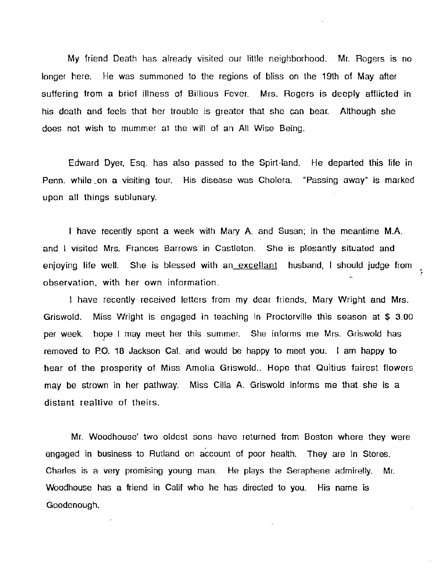My friend Death has already visited our little neighborhood. Mr. Rogers is no longer here. He was summoned to the regions of bliss on the 19th of May after suffering from a brief illness of Billious Fever. Mrs. Rogers is deeply afflicted in his death and feels that her trouble is greater that she can bear. Although she does not wish to mummer at the will of an All Wise Being.

Edward Dyer, Esq. has also passed to the Spirt-land. He departed this life in Penn. while \_on a visiting tour. His disease was Cholera. "Passing away" is marked upon all things sublunary.

I have recently spent a week with Mary A. and Susan; in the meantime M.A. and I visited Mrs. Frances Barrows in Castleton. She is plesantly situated and enjoying life well. She is blessed with an excellant husband, I should judge from observation, with her own information.

I have recently received letters from my dear friends, Mary Wright and Mrs. Griswold. Miss Wright is engaged in teaching in Proctorville this season at \$ 3.00 per week. hope I may meet her this summer. She informs me Mrs. Griswold has removed to P.O. 18 Jackson Cal. and would be happy to meet you. I am happy to hear of the prosperity of Miss Amelia Griswold.. Hope that Quitius fairest flowers may be strown in her pathway. Miss Cilia A. Griswold informs me that she is a distant realtive of theirs.

Mr. Woodhouse' two oldest sons have returned from Boston where they were engaged in business to Rutland on account of poor health. They are in Stores. Charles is a very promising young man. He plays the Seraphene admirelly. Mr. Woodhouse has a friend in Calif who he has directed to you. His name is Goodenough.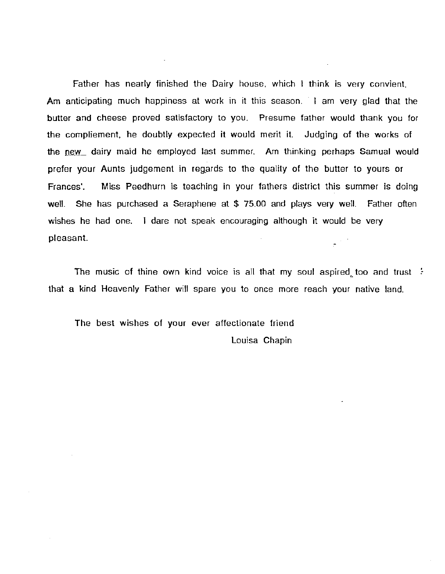Father has nearly finished the Dairy house, which I think is very convient, Am anticipating much happiness at work in it this season. I am very glad that the butter and cheese proved satisfactory to you. Presume father would thank you for the compliement, he doubtly expected it would merit it. Judging of the works of the new dairy maid he employed last summer. Am thinking perhaps Samual would prefer your Aunts judgement in regards to the quality of the butter to yours or Frances'. Miss Peedhurn is teaching in your fathers district this summer is doing well. She has purchased a Seraphene at \$ 75.00 and plays very well. Father often wishes he had one. I dare not speak encouraging although it would be very pleasant.

The music of thine own kind voice is all that my soul aspired too and trust  $\div$ '"' that a kind Heavenly Father will spare you to once more reach your native land.

The best wishes of your ever affectionate friend Louisa Chapin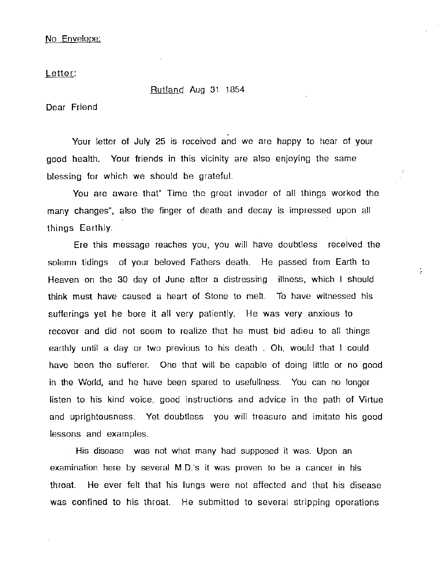## No Envelope:

Letter:

#### Rutland Aug 31 1854

Dear Friend

Your letter of July 25 is received and we are happy to hear of your good health. Your friends in this vicinity are also enjoying the same blessing for which we should be grateful.

You are aware that" Time the great invader of all things worked the many changes". also the finger of death and decay is impressed upon all things Earthly.

Ere this message reaches you. you will have doubtless received the solemn tidings of your beloved Fathers death. He passed from Earth to Heaven on the 30 day of June after a distressing illness. which I should think must have caused a heart of Stone to melt. To have witnessed his sufferings yet he bore it all very patiently. He was very anxious to recover and did not seem to realize that he must bid adieu to all things earthly until a day or two previous to his death . Oh, would that I could have been the sufferer. One that will be capable of doing little or no good in the World, and he have been spared to usefullness. You can no longer listen to his kind voice, good instructions and advice in the path of Virtue and uprightousness. Yet doubtless you will treasure and imitate his good lessons and examples.

ţ.

His disease was not what many had supposed it was. Upon an examination here by several M.D.'s it was proven to be a cancer in his throat. He ever felt that his lungs were not affected and that his disease was confined to his throat. He submitted to several stripping operations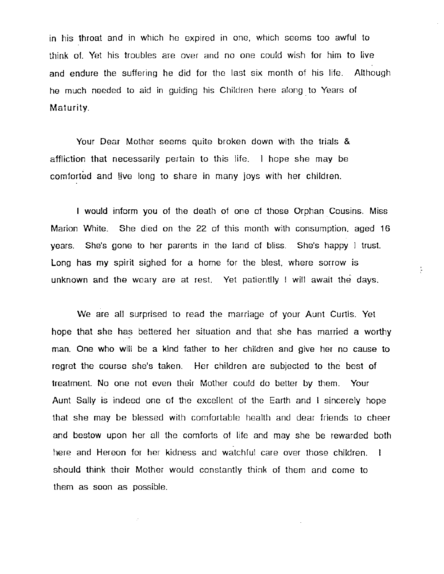in his throat and in which he expired in one, which seems too awful to think of. Yet his troubles are over and no one could wish for him to live and endure the suffering he did for the last six month of his life. Although he much needed to aid in guiding his Children here along to Years of Maturity.

Your Dear Mother seems quite broken down with the trials & affliction that necessarily pertain to this life. I hope she may be comforted and live long to share in many joys with her children.

I would inform you of the death of one of those Orphan Cousins. Miss Marion White. She died on the 22 of this month with consumption. aged 16 years. She's gone to her parents in the land of bliss. She's happy I trust. Long has my spirit sighed for a home for the blest, where sorrow is unknown and the weary are at rest. Yet patientlly I will await the days.

ţ

We are all surprised to read the marriage of your Aunt Curtis. Yet hope that she has bettered her situation and that she has married a worthy man. One who will be a kind father to her children and give her no cause to regret the course she's taken. Her children are subjected to the best of treatment. No one not even their Mother could do better by them. Your Aunt Sally is indeed one of the excellent of the Earth and I sincerely hope that she may be blessed with comfortable health and dear friends to cheer and bestow upon her all the comforts of life and may she be rewarded both here and Hereon for her kidness and watchful care over those children. I should think their Mother would constantly think of them and come to them as soon as possible.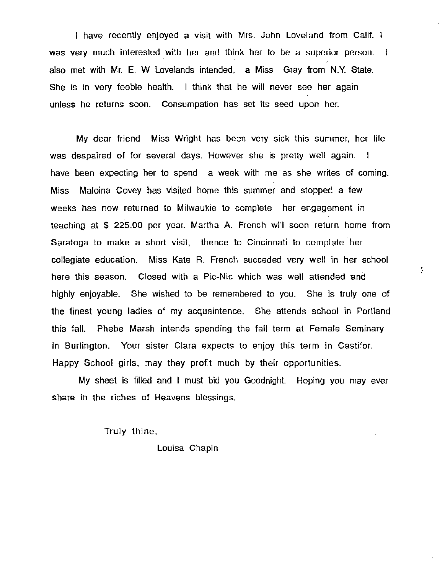I have recently enjoyed a visit with Mrs. John Loveland from Calif. I was very much interested with her and think her to be a superior person. I also met with Mr. E. W Lovelands intended, a Miss Gray from N.Y. State. She is in very feeble health. I think that he will never see her again unless he returns soon. Consumpation has set its seed upon her.

My dear friend Miss Wright has been very sick this summer, her life was despaired of for several days. However she is pretty well again. I have been expecting her to spend a week with me 'as she writes of coming. Miss Maloina Covey has visited home this summer and stopped a few weeks has now returned to Milwaukie to complete her engagement in teaching at \$ 225.00 per year. Martha A. French will soon return home from Saratoga to make a short visit, thence to Cincinnati to complete her collegiate education. Miss Kate R. French succeded very well in her school here this season. Closed with a Pic-Nic which was well attended and highly enjoyable. She wished to be remembered to you. She is truly one of the finest young ladies of my acquaintence. She attends school in Portland this fall. Phebe Marsh intends spending the fall term at Female Seminary in Burlington. Your sister Clara expects to enjoy this term in Castifor. Happy School girls, may they profit much by their opportunities.

ţ.

My sheet is filled and I must bid you Goodnight. Hoping you may ever share in the riches of Heavens blessings.

Truly thine,

Louisa Chapin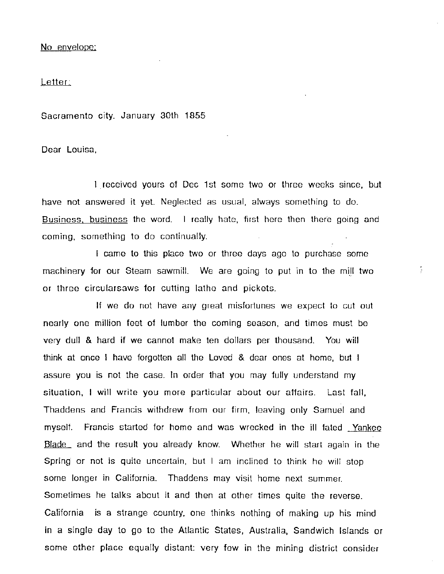#### No envelope:

## Letter:

Sacramento city. January 30th 1855

Dear Louisa,

I received yours of Dec 1st some two or three weeks since, but have not answered it yet. Neglected as usual, always something to do. Business. business the word. I really hate, first here then there going and coming, something to do continually.

I came to this place two or three days ago to purchase some machinery for our Steam sawmill. We are going to put in to the mill two or three circularsaws for cutting lathe and pickets.

÷

If we do not have any great misfortunes we expect to cut out nearly one million feet of lumber the coming season, and times must be very dull & hard if we cannot make ten dollars per thousand. You will think at once I have forgotten all the Loved & dear ones at home, but I assure you is not the case. In order that you may fully understand my situation, I will write you more particular about our affairs. Last fall, Thaddens and Francis withdrew from our firm, leaving only Samuel and myself. Francis started for home and was wrecked in the ill fated Yankee Blade and the result you already know. Whether he will start again in the Spring or not is quite uncertain, but I am inclined to think he will stop some longer in California. Thaddens may visit home next summer. Sometimes he talks about it and then at other times quite the reverse. California is a strange country, one thinks nothing of making up his mind in a single day to go to the Atlantic States, Australia, Sandwich Islands or some other place equally distant: very few in the mining district consider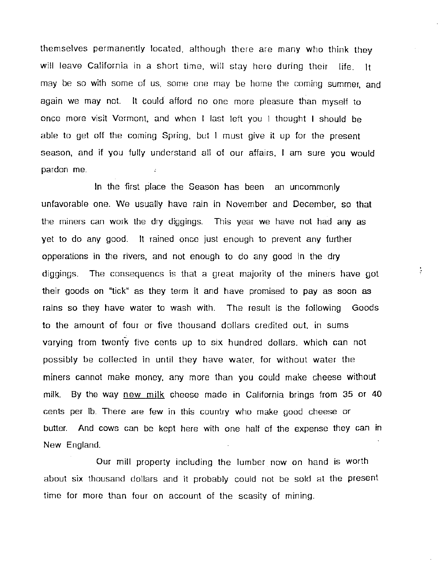themselves permanently located, although there are many who think they will leave California in a short time, will stay here during their life. It may be so with some of us, some one may be home the coming summer, and again we may not. It could- afford no one more pleasure than myself to once more visit Vermont, and when I last left you I thought I should be able to get off the coming Spring, but I must give it up for the present season. and if you fully understand all of our affairs. I am sure you would pardon me.

In the first place the Season has been an uncommonly unfavorable one. We usually have rain in November and December, so that the miners can work the dry diggings. This year we have not had any as yet to do any good. It rained once just enough to prevent any further opperations in the rivers, and not enough to do any good in the dry diggings. The consequencs is that a great majority of the miners have got their goods on "tick" as they term it and have promised to pay as soon as rains so they have water to wash with. The result is the following Goods to the amount of four or five thousand dollars credited out. in sums varying from twenty five cents up to six hundred dollars. which can not possibly be collected in until they have water, for without water the miners cannot make money, any more than you could make cheese without milk. By the way new milk cheese made in California brings from 35 or 40 cents per lb. There are few in this country who make good cheese or butter. And cows can be kept here with one half of the expense they can in New England.

Our mill property including the lumber now on hand is worth about six thousand dollars and it probably could not be sold at the present time for more than four on account of the scasity of mining.

÷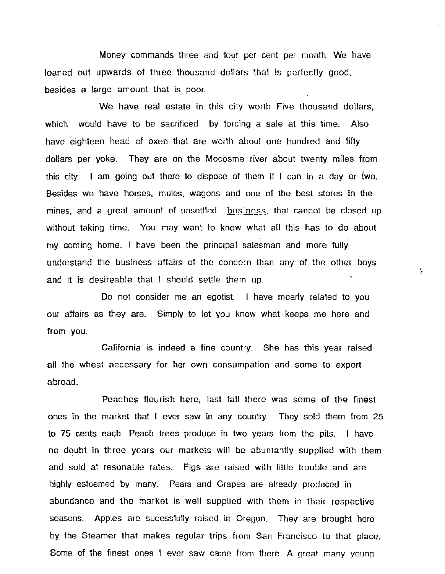Money commands three and four per cent per month. We have loaned out upwards of three thousand dollars that is perfectly good, besides a large amount that is poor.

We have real estate in this city worth Five thousand dollars, which would have to be sacrificed by forcing a sale at this time. Also have eighteen head of oxen that are worth about one hundred and fifty dollars per yoke. They are on the Mocosme river about twenty miles from this city. I am going out there to dispose of them if I can in a day or two. Besides we have horses, mules, wagons and one of the best stores in the mines, and a great amount of unsettled business, that cannot be closed up without taking time. You may want to know what all this has to do about my coming home. I have been the principal salesman and more fully understand the business affairs of the concern than any of the other boys and it is desireable that I should settle them up.

Do not consider me an egotist. I have mearly related to you our affairs as they are. Simply to let you know what keeps me here and from you.

California is indeed a fine country. She has this year raised all the wheat necessary for her own consumpation and some to export abroad.

Peaches flourish here, last fall there was some of the finest ones in the market that I ever saw in any country. They sold them from 25 to 75 cents each. Peach trees produce in two years from the pits. I have no doubt in three years our markets will be abuntantly supplied with them and sold at resonable rates. Figs are raised with little trouble and are highly esteemed by many. Pears and Grapes are already produced in abundance and the market is well supplied with them in their respective seasons. Apples are sucessfully raised in Oregon. They are brought here by the Steamer that makes regular trips from San Francisco to that place. Some of the finest ones I ever saw came from there. A great many young

ţ.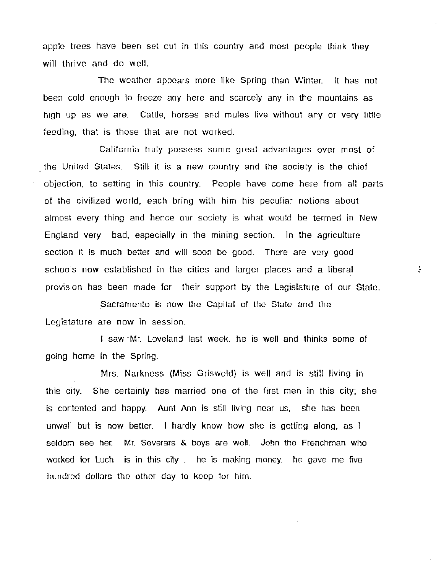apple trees have been set out in this country and most people think they will thrive and do well.

The weather appears more like Spring than Winter. It has not been cold enough to freeze any here and scarcely any in the mountains as high up as we are. Cattle, horses and mules live without any or very little feeding, that is those that are not worked.

California truly possess some great advantages over most of the United States. Still it is a new country and the society is the chief objection, to setting in this country. People have come here from all parts of the civilized world, each bring with him his peculiar notions about almost every thing and hence our society is what would be termed in New England very bad, especially in the mining section. In the agriculture section it is much better and will soon be good. There are very good schools now established in the cities and larger places and a liberal ~:, provision has been made for their support by the Legislature of our State.

Sacramento is now the Capital of the State and the Legistature are now in session.

I saw Mr. Loveland last week, he is well and thinks some of going home in the Spring.

Mrs. Narkness (Miss Griswold) is well and is still living in this city. She certainly has married one of the first men in this city; she is contented and happy. Aunt Ann is still living near us, she has been unwell but is now better. I hardly know how she is getting along, as I seldom see her. Mr. Severars & boys are well. John the Frenchman who worked for Luch is in this city . he is making money. he gave me five hundred dollars the other day to keep for him.

÷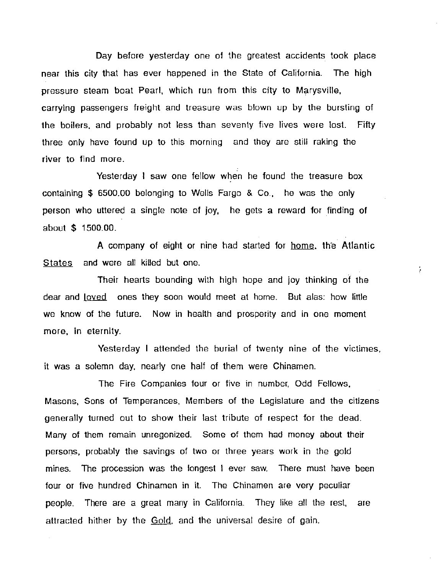Day before yesterday one of the greatest accidents took place near this city that has ever happened in the State of California. The high pressure steam boat Pearl, which run from this city to Marysville, carrying passengers freight and treasure was blown up by the bursting of the boilers. and probably not less than seventy five lives were lost. Fifty three only have found up to this morning and they are still raking the river to find more.

Yesterday I saw one fellow when he found the treasure box containing \$ 6500.00 belonging to Wells Fargo & Co.. he was the only person who uttered a single note of joy, he gets a reward for finding of about \$ 1500.00.

A company of eight or nine had started for home, the Atlantic States and were all killed but one.

ţ.

Their hearts bounding with high hope and joy thinking of the dear and loved ones they soon would meet at home. But alas: how little we know of the future. Now in health and prosperity and in one moment more, in eternity.

Yesterday I attended the burial of twenty nine of the victimes. it was a solemn day, nearly one half of them were Chinamen.

The Fire Companies four or five in number. Odd Fellows, Masons, Sons of Temperances. Members of the Legislature and the citizens generally turned out to show their last tribute of respect for the dead. Many of them remain unregonized. Some of them had money about their persons, probably the savings of two or three years work in the gold mines. The procession was the longest I ever saw. There must have been four or five hundred Chinamen in it. The Chinamen are very peculiar people. There are a great many in California. They like all the rest. are attracted hither by the Gold, and the universal desire of gain.

ä,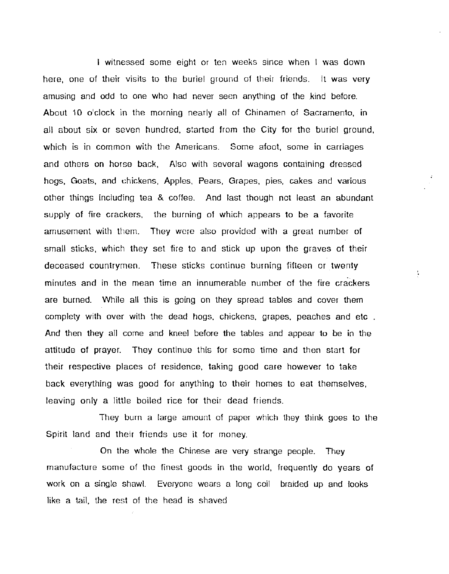I witnessed some eight or ten weeks since when I was down here, one of their visits to the buriel ground of their friends. It was very amusing and odd to one who had never seen anything of the kind before. About 10 o'clock in the morning nearly all of Chinamen of Sacramento, in all about six or seven hundred, started from the City for the buriel ground, which is in common with the Americans. Some afoot, some in carriages and others on horse back, Also with several wagons containing dressed hogs, Goats, and chickens, Apples, Pears, Grapes, pies, cakes and various other things including tea & coffee. And last though not least an abundant supply of fire crackers, the burning of which appears to be a favorite amusement with them. They were also provided with a great number of small sticks, which they set fire to and stick up upon the graves of their deceased countrymen. These sticks continue burning fifteen or twenty minutes and in the mean time an innumerable number of the fire crackers are burned. While all this is going on they spread tables and cover them complety with over with the dead hogs, chickens, grapes, peaches and etc. And then they all come and kneel before the tables and appear to be in the attitude of prayer. They continue this for some time and then start for their respective places of residence, taking good care however to take back everything was good for anything to their homes to eat themselves. leaving only a little boiled rice for their dead friends.

They burn a large amount of paper which they think goes to the Spirit land and their friends use it for money.

On the whole the Chinese are very strange people. They manufacture some of the finest goods in the world, frequently do years of work on a single shawl. Everyone wears a long coil braided up and looks like a tail, the rest of the head is shaved

 $\ddot{\phantom{a}}$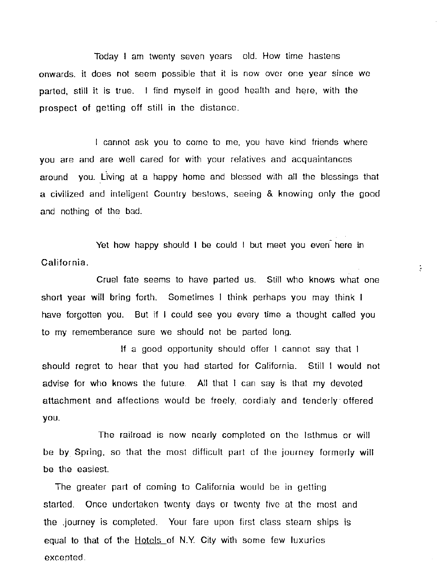Today I am twenty seven years old. How time hastens onwards. it does not seem possible that it is now over one year since we parted, still it is true. I find myself in good health and here, with the prospect of getting off still in the distance.

I cannot ask you to come to me, you have kind friends where you are and are well cared for with your relatives and acquaintances around you. Living at a happy home and blessed with all the blessings that a civilized and inteligent Country bestows, seeing & knowing only the good and nothing of the bad.

Yet how happy should I be could I but meet you even here in California.

Cruel fate seems to have parted us. Still who knows what one short year will bring forth. Sometimes I think perhaps you may think I have forgotten you. But if I could see you every time a thought called you to my rememberance sure we should not be parted long.

If a good opportunity should offer I cannot say that I should regret to hear that you had started for California. Still I would not advise for who knows the future. All that I can say is that my devoted attachment and affections would be freely, cordialy and tenderly· offered you.

The railroad is now nearly completed on the Isthmus or will be by. Spring, so that the most difficult part of the journey formerly will be the easiest.

The greater part of coming to California would be in getting started. Once undertaken twenty days or twenty five at the most and the .journey is completed. Your fare upon first class steam ships is equal to that of the Hotels of N.Y. City with some few luxuries excepted.

ţ.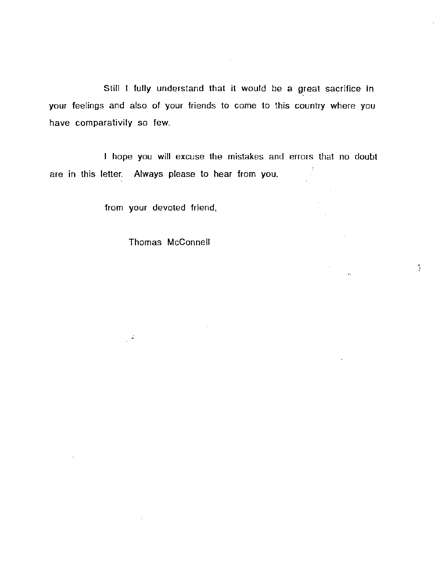Still I fully understand that it would be a great sacrifice in your feelings and also of your friends to come to this country where you have comparativily so few.

 $\mathcal{L}$ 

I hope you will excuse the mistakes and errors that no doubt are in this letter. Always please to hear from you.

ţ

from your devoted friend,

 $\mathbb{R}^2$ 

Thomas McConnell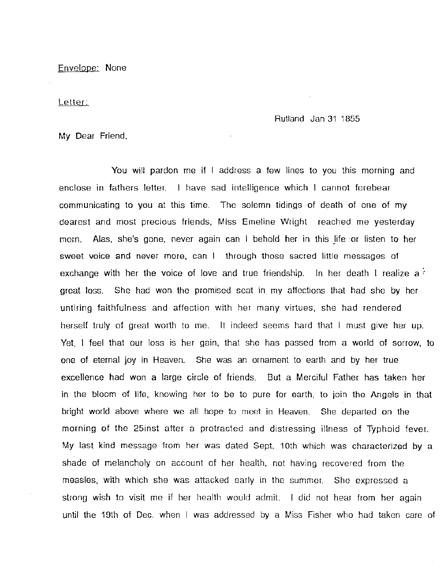Envelope: None

Letter:

Rutland Jan 31 1855

My Dear Friend,

You will pardon me if I address a few lines to you this morning and enclose in fathers letter. I have sad intelligence which I cannot forebear communicating to you at this time. The solemn tidings of death of one of my dearest and most precious friends, Miss Emeline Wright reached me yesterday morn. Alas, she's gone. never again can I behold her in this life ·or listen to her sweet voice and never more, can I through those sacred little messages of exchange with her the voice of love and true friendship. In her death I realize a great loss. She had won the promised seat in my affections that had she by her untiring faithfulness and affection with her many virtues, she had rendered herself truly of great worth to me. It indeed seems hard that I must give her up. Yet, I feel that our loss is her gain, that she has passed from a world of sorrow, to one of eternal joy in Heaven. She was an ornament to earth and by her true excellence had won a large circle of friends. But a Merciful Father has taken her in the bloom of life. knowing her to be to pure for earth, to join the Angels in that bright world above where we all hope to meet in Heaven. She departed on the morning of the 25inst after a protracted and distressing illness of Typhoid fever. My last kind message from her was dated Sept. 1Oth which was characterized by a shade of melancholy on account of her health, not having recovered from the measles, with which she was attacked early in the summer. She expressed a strong wish to visit me if her health would admit. I did not hear from her again until the 19th of Dec. when I was addressed by a Miss Fisher who had taken care of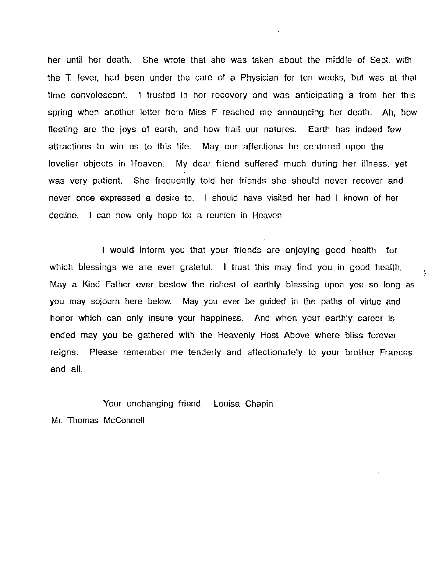her until her death. She wrote that .she was taken about the middle of Sept. with the T. fever. had been under the care of a Physician for ten weeks, but was at that time convelescent. I trusted in her recovery and was anticipating a from her this spring when another letter from Miss F reached me announcing her death. Ah, how fleeting are the joys of earth, and how frail our natures. Earth has indeed few attractions to win us to this life. May our affections be centered upon the lovelier objects in Heaven. My dear friend suffered much during her illness, yet was very patient. She frequently told her friends she should never recover and never once expressed a desire to. I should have visited her had I known of her decline. I can now only hope for a reunion in Heaven.

I would inform you that your friends are enjoying good health for which blessings we are ever grateful. I trust this may find you in good health. May a Kind Father ever bestow the richest of earthly blessing upon you so long as you may sojourn here below. May you ever be guided in the paths of virtue and honor which can only insure your happiness. And when your earthly career is ended may you be gathered with the Heavenly Host Above where bliss forever reigns. Please remember me tenderly and affectionately to your brother Frances and all.

Your unchanging friend. Louisa Chapin Mr. Thomas McConnell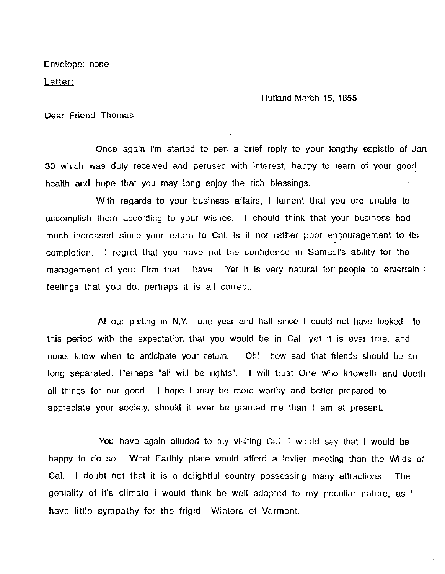Envelope: none

Letter:

Rutland March 15, 1855

Dear Friend Thomas,

Once again I'm started to pen a brief reply to your lengthy espistle of Jan 30 which was duly received and perused with interest, happy to learn of your gooq health and hope that you may long enjoy the rich blessings.

With regards to your business affairs, I lament that you are unable to accomplish them according to your wishes. I should think that your business had much increased since your return to Cal. is it not rather poor encouragement to its completion, I regret that you have not the confidence in Samuel's ability for the management of your Firm that I have. Yet it is very natural for people to entertain ; feelings that you do, perhaps it is all correct.

At our parting in N.Y. one year and half since I could not have looked to this period with the expectation that you would be in Cal. yet it is ever true. and none, know when to anticipate your return. Oh! how sad that friends should be so long separated. Perhaps "all will be rights". I will trust One who knoweth and doeth all things for our good. I hope I may be more worthy and better prepared to appreciate your society, should it ever be granted me than I am at present.

You have again alluded to my visiting Cal. I would say that I would be happy· to do so. What Earthly place would afford a lovlier meeting than the Wilds of Cal. I doubt not that it is a delightful country possessing many attractions. The geniality of it's climate I would think be well adapted to my peculiar nature, as I have little sympathy for the frigid Winters of Vermont.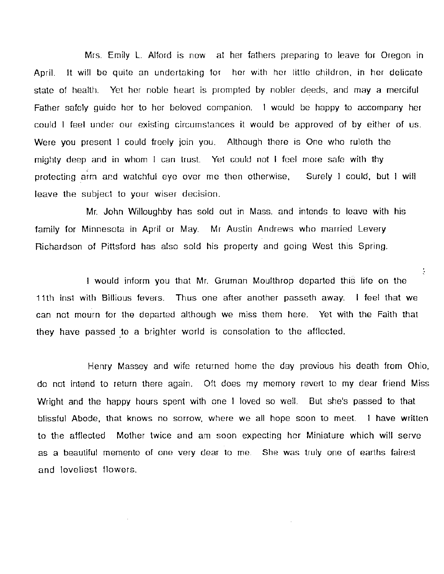Mrs. Emily L. Alford is now at her fathers preparing to leave for Oregon in April. It will be quite an undertaking for her with her little children, in her delicate state of health. Yet her noble heart is prompted by nobler deeds, and may a merciful Father safely guide her to her beloved companion. I would be happy to accompany her could I feel under our existing circumstances it would be approved of by either of us. Were you present I could freely join you. Although there is One who ruleth the mighty deep and in whom I can trust. Yet could not I feel more safe with thy protecting arm and watchful eye over me then otherwise, Surely I could, but I will leave the subject to your wiser decision.

Mr. John Willoughby has sold out in Mass. and intends to leave with his family for Minnesota in April or May. Mr Austin Andrews who married Levery Richardson of Pittsford has also sold his property and going West this Spring.

I would inform you that Mr. Gruman Moulthrop departed this life on the 11th inst with Billious fevers. Thus one after another passeth away. I feel that we can not mourn for the departed although we miss them here. Yet with the Faith that they have passed to a brighter world is consolation to the afflected.

ţ.

Henry Massey and wife returned home the day previous his death from Ohio, do not intend to return there again. Oft does my memory revert to my dear friend Miss Wright and the happy hours spent with one I loved so well. But she's passed to that blissful Abode, that knows no sorrow, where we all hope soon to meet. I have written to the afflected Mother twice and am soon expecting her Miniature which will serve as a beautiful memento of one very dear to me. She was truly one of earths fairest and loveliest flowers.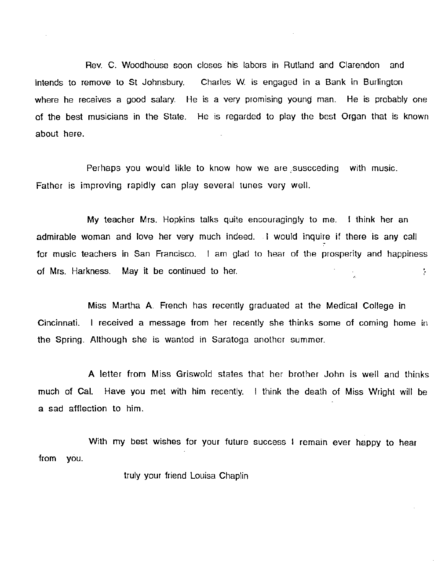Rev. C. Woodhouse soon closes ·his labors in Rutland and Clarendon and intends to remove to St Johnsbury. Charles W. is engaged in a Bank in Burlington where he receives a good salary. He is a very promising young man. He is probably one of the best musicians in the State. He is regarded to play the best Organ that is known about here.

Perhaps you would likle to know how we are suscceding with music. Father is improving rapidly can play several tunes very well.

My teacher Mrs. Hopkins talks quite encouragingly to me. I think her an admirable woman and love her very much indeed. . I would inquire if there is any call for music teachers in San Francisco. I am glad to hear of the prosperity and happiness of Mrs. Harkness. May it be continued to her. ţ.

Miss Martha A. French has recently graduated at the Medical College in Cincinnati. I received a message from her recently she thinks some of coming home in the Spring. Although she is wanted in Saratoga another summer.

A letter from Miss Griswold states that her brother John is well and thinks much of Cal. Have you met with him recently. I think the death of Miss Wright will be a sad afflection to him.

With my best wishes for your future success I remain ever happy to hear from you.

truly your friend Louisa Chaplin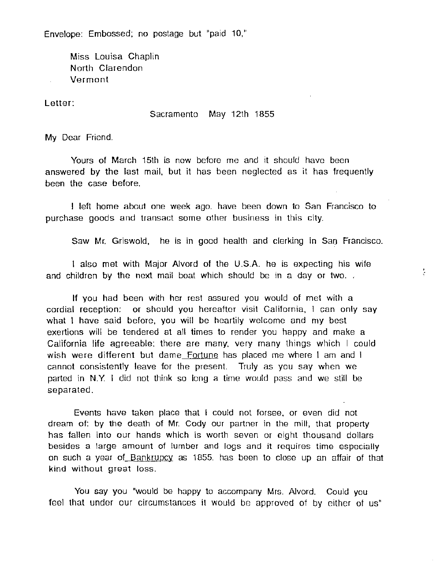Envelope: Embossed; no postage but "paid 10,"

Miss Louisa Chaplin North Clarendon Vermont

Letter:

### Sacramento May 12th 1855

My Dear Friend.

Yours of March 15th is now before me and it should have been answered by the last mail, but it has been neglected as it has frequently been the case before.

I left home about one week ago. have been down to San Francisco to purchase goods and transact some other business in this city.

Saw Mr. Griswold, he is in good health and clerking in San Francisco.

ţ.

I also met with Major Alvord of the U.S.A. he is expecting his wife and children by the next mail boat which should be in a day or two.

If you had been with her rest assured you would of met with a cordial reception: or should you hereafter visit California, I can only say what I have said before, you will be heartily welcome and my best exertions will be tendered at all times to render you happy and make a California life agreeable: there are many, very many things which I could wish were different but dame Fortune has placed me where I am and I cannot consistently leave for the present. Truly as you say when we parted in N.Y. I did not think so long a time would pass and we still be separated.

Events have taken place that I could not forsee. or even did not dream of: by the death of Mr. Cody our partner in the mill, that property has fallen into our hands which is worth seven or eight thousand dollars besides a large amount of lumber and logs and it requires time especially on such a year of Bankrupcy as 1855. has been to close up an affair of that kind without great loss.

You say you "would be happy to accompany Mrs. Alvord. Could you feel that under our circumstances it would be approved of by either of us"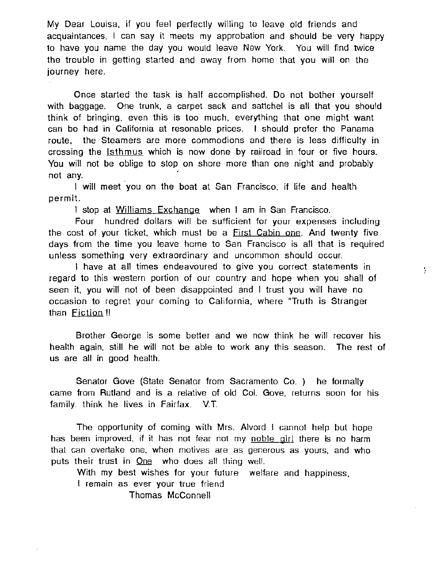My Dear Louisa, if you feel perfectly willing to leave old friends and acquaintances, I can say it meets my approbation and should be very happy to have you name the day you would leave New York. You will find twice the trouble in getting started and away from home that you will on the journey here.

Once started the task is half accomplished. Do not bother yourself with baggage. One trunk, a carpet sack and sattchel is all that you should think of bringing, even this is too much, everything that one might want can be had in California at resonable prices. I should prefer the Panama route, the Steamers are more commodions and there is less difficulty in crossing the Isthmus which is now done by railroad in four or five hours. You will not be oblige to stop on shore more than one night and probably not any.

I will meet you on the boat at San Francisco, if life and health permit.

I stop at Williams Exchange when I am in San Francisco.

Four hundred dollars will be sufficient for your expenses including the cost of your ticket, which must be a First Cabin one. And twenty five days from the time you leave home to San Francisco is all that is required unless something very extraordinary and uncommon should occur.

ţ.

I have at all times endeavoured to give you correct statements in regard to this western portion of our country and hope when you shall of seen it, you will not of been disappointed and I trust you will have no occasion to regret your coming to California, where "Truth is Stranger than  $Fiction$ !!

Brother George is some better and we now think he will recover his health again, still he will not be able to work any this season. The rest of us are all in good health.

Senator Gave (State Senator from Sacramento Co. ) he formally came from Rutland and is a relative of old Col. Gove, returns soon for his family. think he lives in Fairfax. V.T.

The opportunity of coming with Mrs. Alvord I cannot help but hope has been improved, if it has not fear not my noble girl there is no harm that can overtake one, when motives are as generous as yours, and who puts their trust in One who does all thing well.

With my best wishes for your future welfare and happiness, I remain as ever your true friend

Thomas McConnell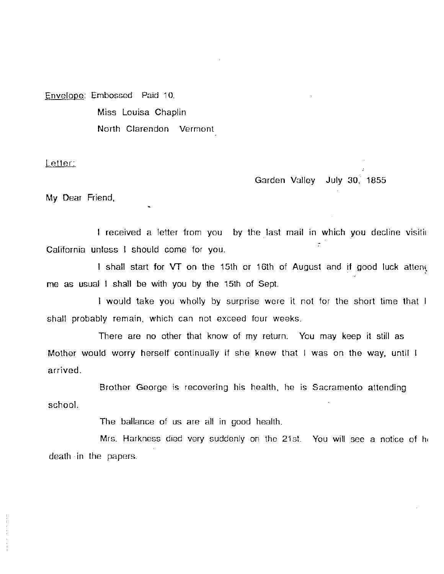Envelope: Embossed Paid 10. Miss Louisa Chaplin North Clarendon Vermont

Letter:

Garden Valley July 30, 1855

My Dear Friend,

I received a letter from you by the last mail in which you decline visitin  $\tau$  . California unless I should come for you.

I shall start for VT on the 15th or 16th of August and if good luck attene me as usual I shall be with you by the 15th of Sept.

I would take you wholly by surprise were it not for the short time that I shall probably remain. which can not exceed four weeks.

There are no other that know of my return. You may keep it still as Mother would worry herself continually if she knew that I was on the way, until arrived.

Brother George is recovering his health, he is Sacramento attending school.

The ballance of us are all in good health.

Mrs. Harkness died very suddenly on the 21st. You will see a notice of he death ·in the papers.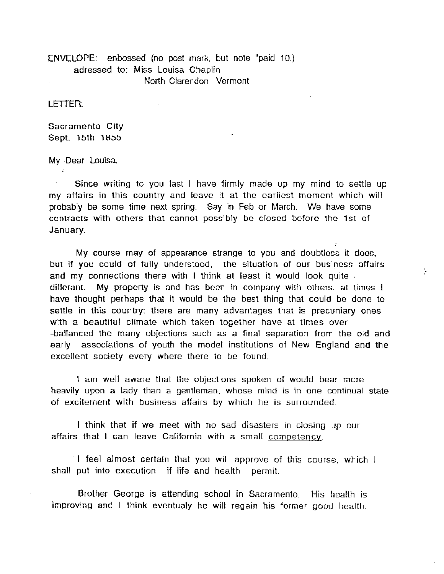ENVELOPE: enbossed (no post mark, but note "paid 10.) adressed to: Miss Louisa Chaplin North Clarendon Vermont

LEITER:

Sacramento City Sept. 15th 1855

My Dear Louisa.

Since writing to you last I have firmly made up my mind to settle up my affairs in this country and leave it at the earliest moment which will probably be some time next spring. Say in Feb or March. We have some contracts with others that cannot possibly be closed before the 1st of January.

My course may of appearance strange to you and doubtless it does, but if you could of fully understood, the situation of our business affairs and my connections there with I think at least it would look quite , differant. My property is and has been in company with others. at times I have thought perhaps that it would be the best thing that could be done to settle in this country: there are many advantages that is precuniary ones with a beautiful climate which taken together have at times over -ballanced the many objections such as a final separation from the old and early associations of youth the model institutions of New England and the excellent society every where there to be found.

ţ.

I am well aware that the objections spoken of would bear more heavily upon a lady than a gentleman, whose mind is in one continual state of excitement with business affairs by which he is surrounded.

I think that if we meet with no sad disasters in closing up our affairs that I can leave California with a small competency.

· I feel almost certain that you will approve of this course, which I shall put into execution if life and health permit.

Brother George is attending school in Sacramento. His health is improving and I think eventualy he will regain his former good health.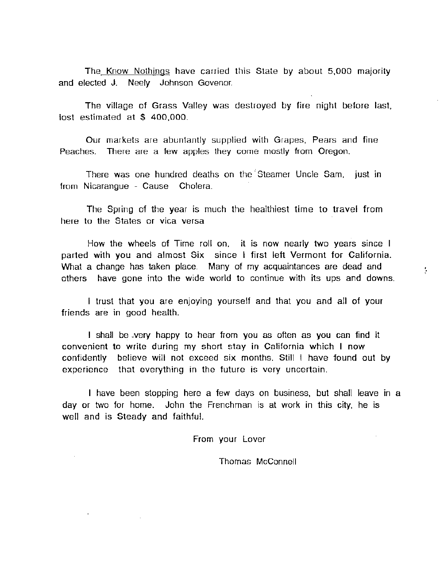The Know Nothings have carried this State by about 5,000 majority and elected J. Neely Johnson Govenor.

The village of Grass Valley was destroyed by fire night before last, lost estimated at \$ 400,000.

Our markets are abuntantly supplied with Grapes, Pears and fine Peaches. There are a few apples they come mostly from Oregon.

There was one hundred deaths on the Steamer Uncle Sam, just in from Nicarangue - Cause Cholera.

The Spring of the year is much the healthiest time to travel from here to the States or vica versa

How the wheels of Time roll on, it is now nearly two years since I parted with you and almost Six since I first left Vermont for California. What a change has taken place. Many of my acquaintances are dead and others have gone into the wide world to continue with its ups and downs.

÷

I trust that you are enjoying yourself and that you and all of your friends are in good health.

I shall be \_very happy to hear from you as often as you can find it convenient to write during my short stay in California which I now confidently believe will not exceed six months. Still I have found out by experience that everything in the future is very uncertain.

I have been stopping here a few days on business, but shall leave in a day or two for home. John the Frenchman is at work in this city, he is well and is Steady and faithful.

From your Lover

Thomas McConnell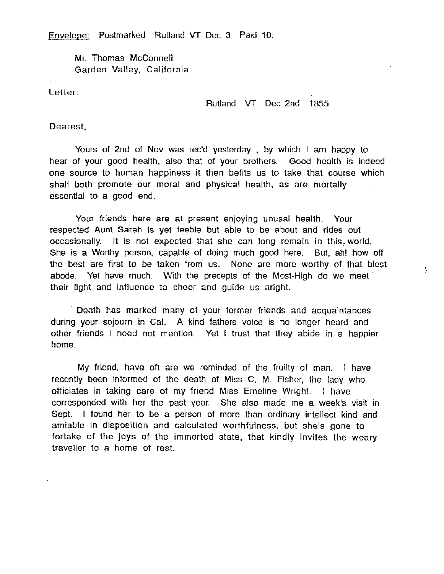Envelope: Postmarked Rutland VT Dec 3 Paid 10.

Mr. Thomas McConnell Garden Valley, California

Letter:

Rutland VT Dec 2nd 1855

ţ.

Dearest,

Yours of 2nd of Nov was rec'd yesterday , by which I am happy to hear of your good health, also that of your brothers. Good health is indeed one source to human happiness it then befits us to take that course which shall both promote our moral and physical health, as are mortally essential to a good end.

Your friends here are at present enjoying unusal health. Your respected Aunt Sarah is yet feeble but able to be about and rides out occasionally. It is not expected that she can long remain in this world. She is a Worthy person, capable of doing much good here. But, ah! how off the best are first to be taken from us. None are more worthy of that blest abode. Yet have much. With the precepts of the Most-High do we meet their light and influence to cheer and guide us aright.

Death has marked many of your former friends and acquaintances during your sojourn in Cal. A kind fathers voice is no longer heard and other friends I need not mention. Yet I trust that they abide in a happier home.

My friend, have oft are we reminded of the fruilty of man. I have recently been informed of the death of Miss C. M. Fisher, the lady who officiates in taking care of my friend Miss Emeline Wright. I have corresponded with her the past year. She also made me a week's visit in Sept. I found her to be a person of more than ordinary intellect kind and amiable in disposition and calculated worthfulness, but she's gone to fortake of the joys of the immorted state, that kindly invites the weary traveller to a home of rest.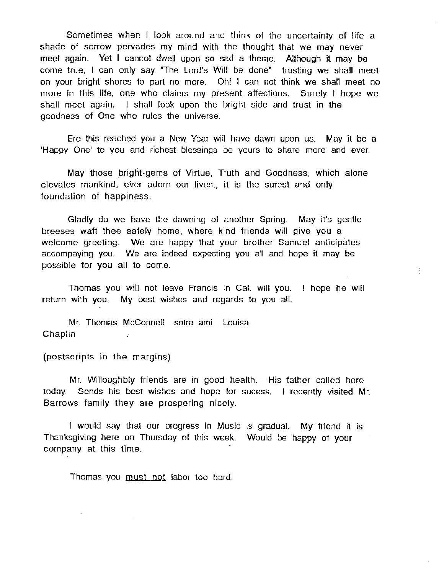Sometimes when I look around and think of the uncertainty of life a shade of sorrow pervades my mind with the thought that we may never meet again. Yet I cannot dwell upon so sad a theme. Although it may be come true, I can only say "The Lord's Will be done" trusting we shall meet on your bright shores to part no more. Oh! I can not think we shall meet no more in this life, one who claims my present affections. Surely I hope we shall meet again. I shall look upon the bright side and trust in the goodness of One who rules the universe.

Ere this reached you a New Year will have dawn upon us. May it be a 'Happy One' to you and richest blessings be yours to share more and ever.

May those bright-gems of Virtue, Truth and Goodness, which alone elevates mankind, ever adorn our lives., it is the surest and only foundation of happiness.

Gladly do we have the dawning of another Spring. May it's gentle breeses waft thee safely home, where kind friends will give you a welcome greeting. We are happy that your brother Samuel anticipates accompaying you. We are indeed expecting you all and hope it may be possible for you all to come.

Thomas you will not leave Francis in Cal. will you. I hope he will return with you. My best wishes and regards to you all.

÷

Mr. Thomas McConnell sotre ami Louisa **Chaplin** 

(postscripts in the margins)

Mr. Willoughbly friends are in good health. His father called here today. Sends his best wishes and hope for sucess. I recently visited Mr. Barrows family they are prospering nicely.

I would say that our progress in Music is gradual. My friend it is Thanksgiving here on Thursday of this week. Would be happy of your company at this time.

Thomas you must not labor too hard.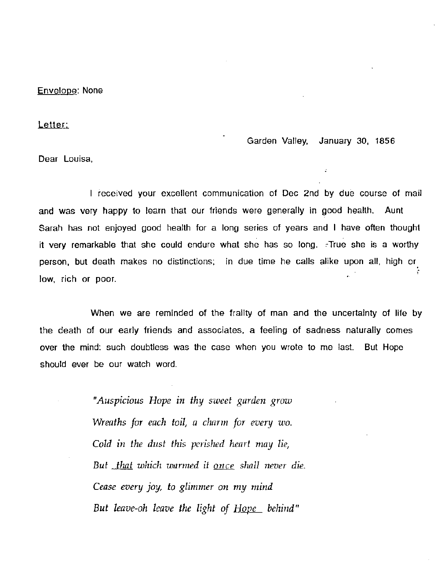Envelope: None

Letter:

Garden Valley, January 30, 1856

Dear Louisa,

I received your excellent communication of Dec 2nd by due course of mail and was very happy to learn that our friends were generally in good health. Aunt Sarah has not enjoyed good health for a long series of years and I have often thought it very remarkable that she could endure what she has so long.  $\tau$ True she is a worthy person, but death makes no distinctions: in due time he calls alike upon all. high or. low, rich or poor.

When we are reminded of the frailty of man and the uncertainty of life by the death of our early friends and associates, a feeling of sadness naturally comes over the mind: such doubtless was the case when you wrote to me last. But Hope should ever be our watch word.

> *"Auspicious Hope in thy sweet garden grow Wreaths for each toil, a charm for every wo. Cold in the dust this perished heart may lie, But that which warmed it once shall never die. Cease every joy, to glimmer on my mind*  But leave-oh leave the light of <u>Hope</u> behind"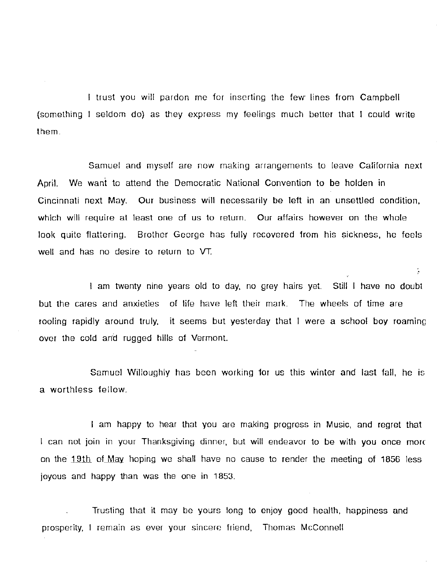I trust you will pardon me for inserting the few lines from Campbell  $(something 1$  seldom do) as they express my feelings much better that I could write them.

Samuel and myself are now making arrangements to leave California next April. We want to attend the Democratic National Convention to be holden in Cincinnati next May. Our business will necessarily be left in an unsettled condition, which will require at least one of us to return. Our affairs however on the whole look quite flattering. Brother George has fully recovered from his sickness, he feels well and has no desire to return to VT.

I am twenty nine years old to day, no grey hairs yet. Still I have no doubt but the cares and anxieties of life have left their mark. The wheels of time are rooling rapidly around truly, it seems but yesterday that I were a school boy roaming over the cold and rugged hills of Vermont.

ţ.

Samuel Willoughly has been working for us this winter and last fall, he is a worthless fellow.

I am happy to hear that you are making progress in Music, and regret that I can not join in your Thanksgiving dinner, but will endeavor to be with you once mord on the  $19th$  of May hoping we shall have no cause to render the meeting of 1856 less joyous and happy than was the one in 1853.

Trusting that it may be yours long to enjoy good health, happiness and prosperity, I remain as ever your sincere friend, Thomas McConnell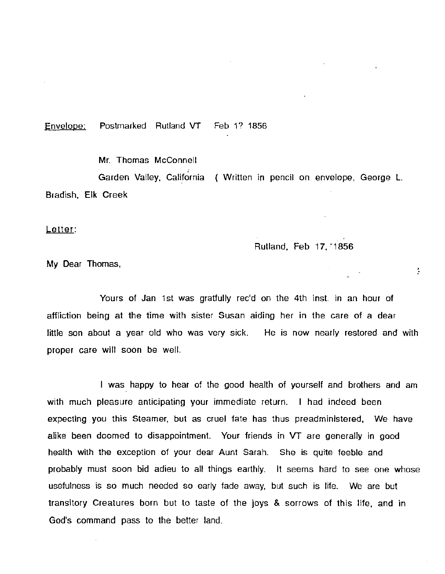Envelope: Postmarked Rutland VT Feb 1? 1856

Mr. Thomas McConnell

Garden Valley, California ( Written in pencil on envelope, George L. Bradish, Elk Creek

Letter:

Rutland, Feb 17, 1856

÷.

My Dear Thomas.

Yours of Jan 1st was gratfully rec'd on the 4th inst. in an hour of affliction being at the time with sister Susan aiding her in the care of a dear little son about a year old who was very sick. He is now nearly restored and with proper care will soon be well.

I was happy to hear of the good health of yourself and brothers and am with much pleasure anticipating your immediate return. I had indeed been expecting you this Steamer, but as cruel fate has thus preadministered, We have alike been doomed to disappointment. Your friends in VT are generally in good health with the exception of your dear Aunt Sarah. She is quite feeble and probably must soon bid adieu to all things earthly. It seems hard to see one whose usefulness is so much needed so early fade away, but such is life. We are but transitory Creatures born but to taste of the joys & sorrows of this life. and in God's command pass to the better land.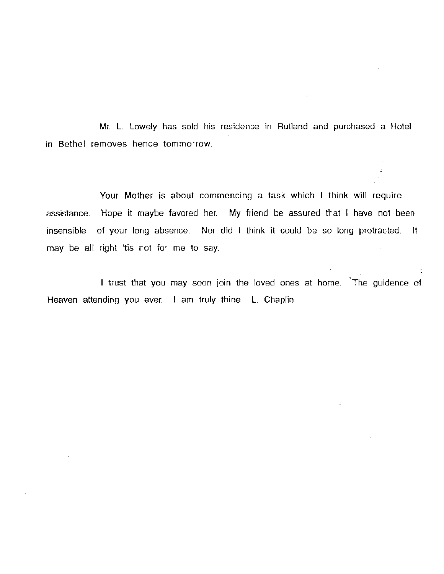Mr. L. Lowely has sold his residence in Rutland and purchased a Hotel in Bethel removes hence tommorrow.

Your Mother is about commencing a task which I think will require assistance. Hope it maybe favored her. My friend be assured that I have not been insensible of your long absence. Nor did I think it could be so long protracted. It may be all right 'tis not for me to say.

I trust that you may soon join the loved ones at home. The guidence of Heaven attending you ever. I am truly thine L. Chaplin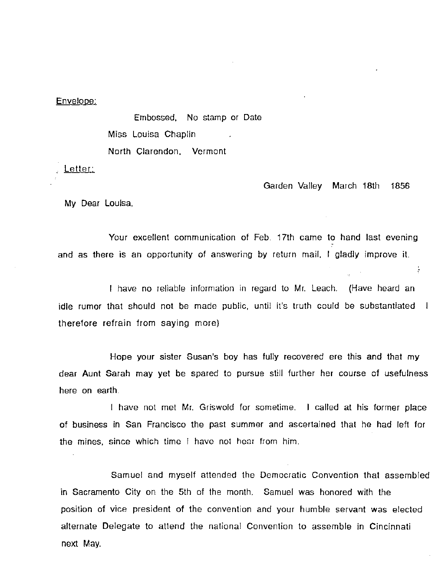## Envelope:

Embossed, No stamp or Date Miss Louisa Chaplin North Clarendon. Vermont

Letter:

Garden Valley March 18th 1856

÷

My Dear Louisa,

Your excellent communication of Feb. 17th came to hand last evening and as there is an opportunity of answering by return mail, I gladly improve it.

I have no reliable information in regard to Mr. Leach. (Have heard an idle rumor that should not be made public, until it's truth could be substantiated | therefore refrain from saying more)

Hope your sister Susan's boy has fully recovered ere this and that my dear Aunt Sarah may yet be spared to pursue still further her course of usefulness here on earth.

I have not met Mr. Griswold for sometime. I called at his former place of business in San Francisco the past summer and ascertained that he had left for the mines, since which time I have not hear from him.

Samuel and myself attended the Democratic Convention that assembled in Sacramento City on the 5th of the month. Samuel was honored with the position of vice president of the convention and your humble servant was elected alternate Delegate to attend the national Convention to assemble in Cincinnati next May.